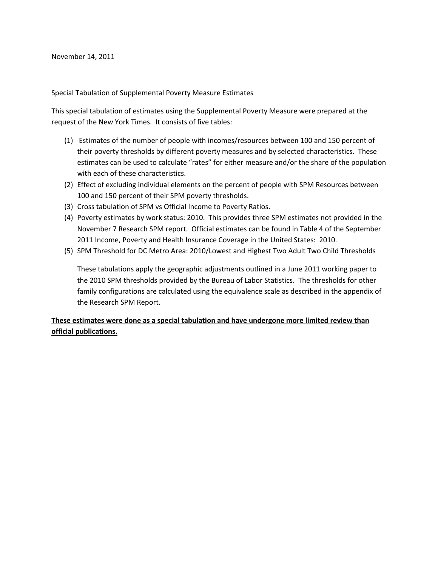November 14, 2011

Special Tabulation of Supplemental Poverty Measure Estimates

This special tabulation of estimates using the Supplemental Poverty Measure were prepared at the request of the New York Times. It consists of five tables:

- (1) Estimates of the number of people with incomes/resources between 100 and 150 percent of their poverty thresholds by different poverty measures and by selected characteristics. These estimates can be used to calculate "rates" for either measure and/or the share of the population with each of these characteristics.
- (2) Effect of excluding individual elements on the percent of people with SPM Resources between 100 and 150 percent of their SPM poverty thresholds.
- (3) Cross tabulation of SPM vs Official Income to Poverty Ratios.
- (4) Poverty estimates by work status: 2010. This provides three SPM estimates not provided in the November 7 Research SPM report. Official estimates can be found in Table 4 of the September 2011 Income, Poverty and Health Insurance Coverage in the United States: 2010.
- (5) SPM Threshold for DC Metro Area: 2010/Lowest and Highest Two Adult Two Child Thresholds

These tabulations apply the geographic adjustments outlined in a June 2011 working paper to the 2010 SPM thresholds provided by the Bureau of Labor Statistics. The thresholds for other family configurations are calculated using the equivalence scale as described in the appendix of the Research SPM Report.

## **These estimates were done as a special tabulation and have undergone more limited review than official publications.**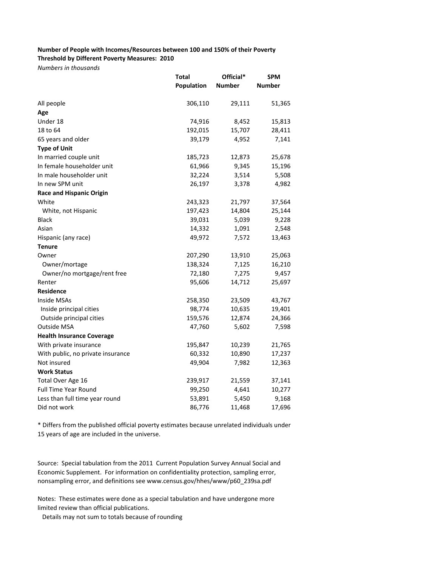## **Number of People with Incomes/Resources between 100 and 150% of their Poverty Threshold by Different Poverty Measures: 2010**

*Numbers in thousands*

|                                   | <b>Total</b> | Official*     | <b>SPM</b>    |  |
|-----------------------------------|--------------|---------------|---------------|--|
|                                   | Population   | <b>Number</b> | <b>Number</b> |  |
| All people                        | 306,110      | 29,111        | 51,365        |  |
| Age                               |              |               |               |  |
| Under 18                          | 74,916       | 8,452         | 15,813        |  |
| 18 to 64                          | 192,015      | 15,707        | 28,411        |  |
| 65 years and older                | 39,179       | 4,952         | 7,141         |  |
| <b>Type of Unit</b>               |              |               |               |  |
| In married couple unit            | 185,723      | 12,873        | 25,678        |  |
| In female householder unit        | 61,966       | 9,345         | 15,196        |  |
| In male householder unit          | 32,224       | 3,514         | 5,508         |  |
| In new SPM unit                   | 26,197       | 3,378         | 4,982         |  |
| <b>Race and Hispanic Origin</b>   |              |               |               |  |
| White                             | 243,323      | 21,797        | 37,564        |  |
| White, not Hispanic               | 197,423      | 14,804        | 25,144        |  |
| <b>Black</b>                      | 39,031       | 5,039         | 9,228         |  |
| Asian                             | 14,332       | 1,091         | 2,548         |  |
| Hispanic (any race)               | 49,972       | 7,572         | 13,463        |  |
| <b>Tenure</b>                     |              |               |               |  |
| Owner                             | 207,290      | 13,910        | 25,063        |  |
| Owner/mortage                     | 138,324      | 7,125         | 16,210        |  |
| Owner/no mortgage/rent free       | 72,180       | 7,275         | 9,457         |  |
| Renter                            | 95,606       | 14,712        | 25,697        |  |
| <b>Residence</b>                  |              |               |               |  |
| <b>Inside MSAs</b>                | 258,350      | 23,509        | 43,767        |  |
| Inside principal cities           | 98,774       | 10,635        | 19,401        |  |
| Outside principal cities          | 159,576      | 12,874        | 24,366        |  |
| <b>Outside MSA</b>                | 47,760       | 5,602         | 7,598         |  |
| <b>Health Insurance Coverage</b>  |              |               |               |  |
| With private insurance            | 195,847      | 10,239        | 21,765        |  |
| With public, no private insurance | 60,332       | 10,890        | 17,237        |  |
| Not insured                       | 49,904       | 7,982         | 12,363        |  |
| <b>Work Status</b>                |              |               |               |  |
| Total Over Age 16                 | 239,917      | 21,559        | 37,141        |  |
| <b>Full Time Year Round</b>       | 99,250       | 4,641         | 10,277        |  |
| Less than full time year round    | 53,891       | 5,450         | 9,168         |  |
| Did not work                      | 86,776       | 11,468        | 17,696        |  |

\* Differs from the published official poverty estimates because unrelated individuals under 15 years of age are included in the universe.

Source: Special tabulation from the 2011 Current Population Survey Annual Social and Economic Supplement. For information on confidentiality protection, sampling error, nonsampling error, and definitions see www.census.gov/hhes/www/p60\_239sa.pdf

Notes: These estimates were done as a special tabulation and have undergone more limited review than official publications.

Details may not sum to totals because of rounding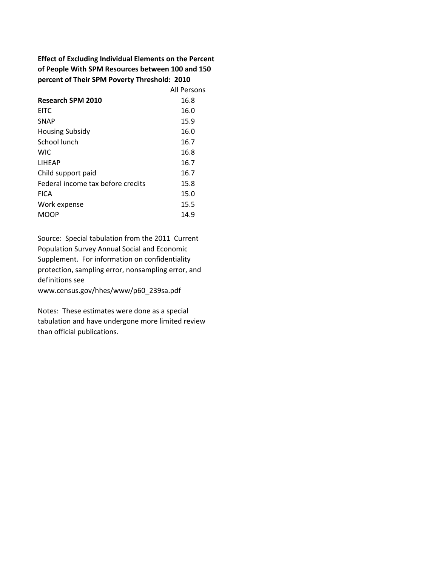**Effect of Excluding Individual Elements on the Percent of People With SPM Resources between 100 and 150 percent of Their SPM Poverty Threshold: 2010**

|                                   | All Persons |
|-----------------------------------|-------------|
| Research SPM 2010                 | 16.8        |
| <b>EITC</b>                       | 16.0        |
| <b>SNAP</b>                       | 15.9        |
| <b>Housing Subsidy</b>            | 16.0        |
| School lunch                      | 16.7        |
| <b>WIC</b>                        | 16.8        |
| <b>LIHEAP</b>                     | 16.7        |
| Child support paid                | 16.7        |
| Federal income tax before credits | 15.8        |
| <b>FICA</b>                       | 15.0        |
| Work expense                      | 15.5        |
| MOOP                              | 14.9        |

Source: Special tabulation from the 2011 Current Population Survey Annual Social and Economic Supplement. For information on confidentiality protection, sampling error, nonsampling error, and definitions see www.census.gov/hhes/www/p60\_239sa.pdf

Notes: These estimates were done as a special tabulation and have undergone more limited review than official publications.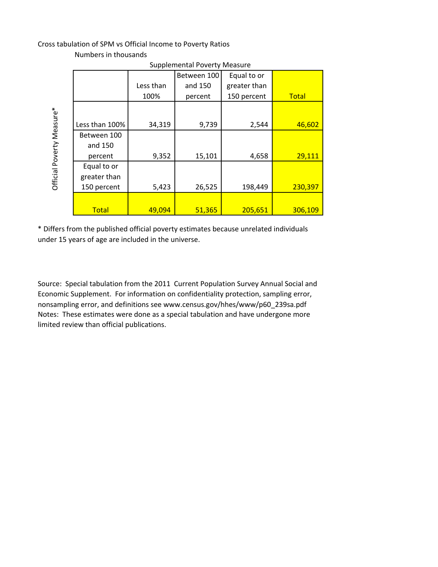## Cross tabulation of SPM vs Official Income to Poverty Ratios

|                           | <b>Supplemental Poverty Measure</b> |           |             |              |              |
|---------------------------|-------------------------------------|-----------|-------------|--------------|--------------|
|                           |                                     |           | Between 100 | Equal to or  |              |
|                           |                                     | Less than | and 150     | greater than |              |
|                           |                                     | 100%      | percent     | 150 percent  | <b>Total</b> |
| Official Poverty Measure* |                                     |           |             |              |              |
|                           | Less than 100%                      | 34,319    | 9,739       | 2,544        | 46,602       |
|                           | Between 100                         |           |             |              |              |
|                           | and 150                             |           |             |              |              |
|                           | percent                             | 9,352     | 15,101      | 4,658        | 29,111       |
|                           | Equal to or                         |           |             |              |              |
|                           | greater than                        |           |             |              |              |
|                           | 150 percent                         | 5,423     | 26,525      | 198,449      | 230,397      |
|                           |                                     |           |             |              |              |
|                           | <b>Total</b>                        | 49,094    | 51,365      | 205,651      | 306,109      |

Numbers in thousands

\* Differs from the published official poverty estimates because unrelated individuals under 15 years of age are included in the universe.

Source: Special tabulation from the 2011 Current Population Survey Annual Social and Economic Supplement. For information on confidentiality protection, sampling error, nonsampling error, and definitions see www.census.gov/hhes/www/p60\_239sa.pdf Notes: These estimates were done as a special tabulation and have undergone more limited review than official publications.